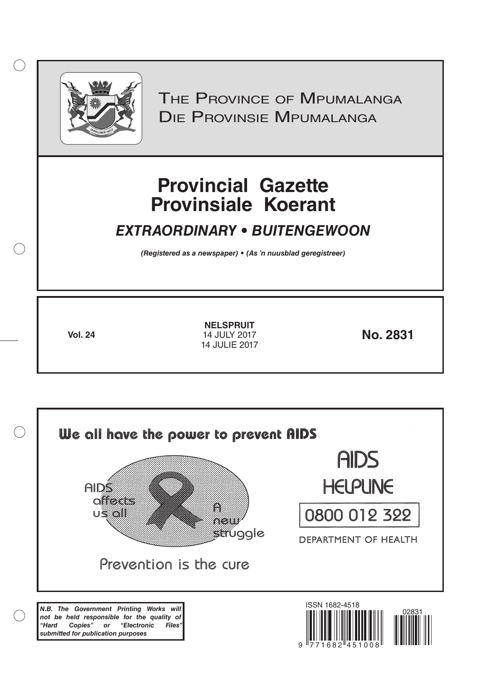

 $( )$ 

THE PROVINCE OF MPUMALANGA Die Provinsie Mpumalanga

# **Provincial Gazette Provinsiale Koerant**

# *EXTRAORDINARY • BUITENGEWOON*

*(Registered as a newspaper) • (As 'n nuusblad geregistreer)*

**Vol. 24 No. 2831** 14 JULY 2017 **NELSPRUIT** 14 JULIE 2017

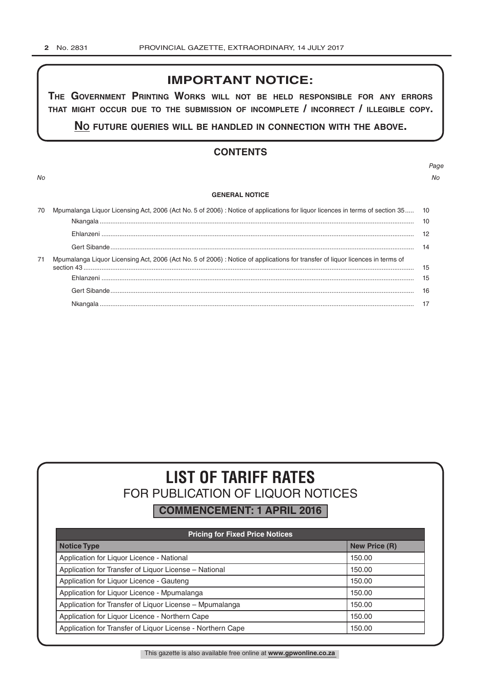# **IMPORTANT NOTICE:**

**The GovernmenT PrinTinG Works Will noT be held resPonsible for any errors ThaT miGhT occur due To The submission of incomPleTe / incorrecT / illeGible coPy.**

**no fuTure queries Will be handled in connecTion WiTh The above.**

# **CONTENTS**

*Page No No*

#### **GENERAL NOTICE**

| 70 | Mpumalanga Liquor Licensing Act, 2006 (Act No. 5 of 2006) : Notice of applications for liquor licences in terms of section 35 10 |    |
|----|----------------------------------------------------------------------------------------------------------------------------------|----|
|    |                                                                                                                                  |    |
|    |                                                                                                                                  |    |
|    |                                                                                                                                  | 14 |
| 71 | Mpumalanga Liquor Licensing Act, 2006 (Act No. 5 of 2006) : Notice of applications for transfer of liquor licences in terms of   |    |
|    |                                                                                                                                  | 15 |
|    |                                                                                                                                  | 15 |
|    |                                                                                                                                  |    |
|    |                                                                                                                                  |    |

# **LIST OF TARIFF RATES** FOR PUBLICATION OF LIQUOR NOTICES

**COMMENCEMENT: 1 APRIL 2016**

| <b>Pricing for Fixed Price Notices</b>                     |                      |  |  |  |
|------------------------------------------------------------|----------------------|--|--|--|
| <b>Notice Type</b>                                         | <b>New Price (R)</b> |  |  |  |
| Application for Liquor Licence - National                  | 150.00               |  |  |  |
| Application for Transfer of Liquor License - National      | 150.00               |  |  |  |
| Application for Liquor Licence - Gauteng                   | 150.00               |  |  |  |
| Application for Liguor Licence - Mpumalanga                | 150.00               |  |  |  |
| Application for Transfer of Liquor License - Mpumalanga    | 150.00               |  |  |  |
| Application for Liquor Licence - Northern Cape             | 150.00               |  |  |  |
| Application for Transfer of Liquor License - Northern Cape | 150.00               |  |  |  |

This gazette is also available free online at **www.gpwonline.co.za**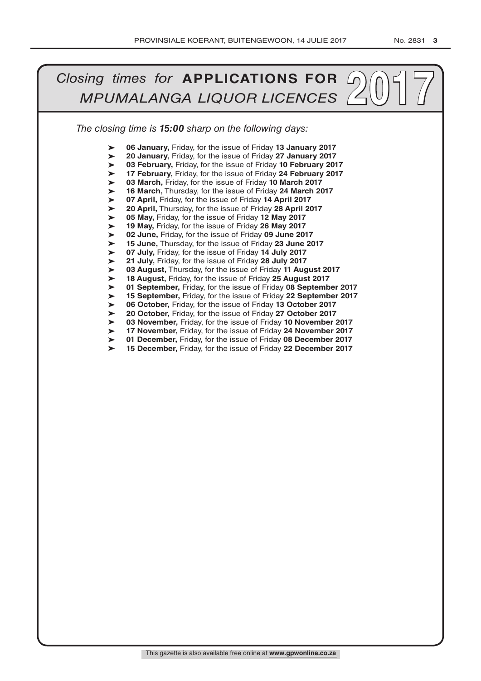#### *The closing time is 15:00 sharp on the following days:* **2017** *Closing times for* **APPLICATIONS FOR MPUMALANGA LIQUOR LICENCES** ➤ ➤ ➤ ➤ ➤ ➤ ➤ ➤ ➤ ➤ ➤ ➤ ➤ ➤ ➤ ➤ ➤ ➤ ➤ ➤ ➤ ➤ ➤ ➤ **06 January,** Friday, for the issue of Friday **13 January 2017 20 January,** Friday, for the issue of Friday **27 January 2017 03 February,** Friday, for the issue of Friday **10 February 2017 17 February,** Friday, for the issue of Friday **24 February 2017 03 March,** Friday, for the issue of Friday **10 March 2017 16 March,** Thursday, for the issue of Friday **24 March 2017 07 April,** Friday, for the issue of Friday **14 April 2017 20 April,** Thursday, for the issue of Friday **28 April 2017 05 May,** Friday, for the issue of Friday **12 May 2017 19 May,** Friday, for the issue of Friday **26 May 2017 02 June,** Friday, for the issue of Friday **09 June 2017 15 June,** Thursday, for the issue of Friday **23 June 2017 07 July,** Friday, for the issue of Friday **14 July 2017 21 July,** Friday, for the issue of Friday **28 July 2017 03 August,** Thursday, for the issue of Friday **11 August 2017 18 August,** Friday, for the issue of Friday **25 August 2017 01 September,** Friday, for the issue of Friday **08 September 2017 15 September,** Friday, for the issue of Friday **22 September 2017 06 October,** Friday, for the issue of Friday **13 October 2017 20 October,** Friday, for the issue of Friday **27 October 2017 03 November,** Friday, for the issue of Friday **10 November 2017 17 November,** Friday, for the issue of Friday **24 November 2017 01 December,** Friday, for the issue of Friday **08 December 2017 15 December,** Friday, for the issue of Friday **22 December 2017**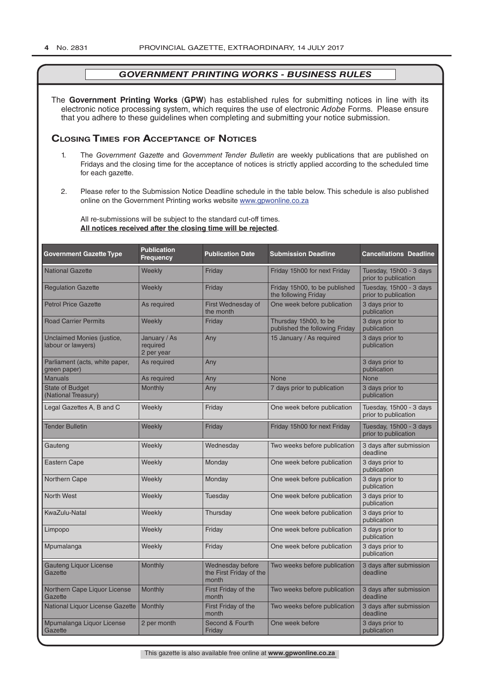The **Government Printing Works** (**GPW**) has established rules for submitting notices in line with its electronic notice processing system, which requires the use of electronic *Adobe* Forms. Please ensure that you adhere to these guidelines when completing and submitting your notice submission.

# **Closing Times for ACCepTAnCe of noTiCes**

- 1. The *Government Gazette* and *Government Tender Bulletin* are weekly publications that are published on Fridays and the closing time for the acceptance of notices is strictly applied according to the scheduled time for each gazette.
- 2. Please refer to the Submission Notice Deadline schedule in the table below. This schedule is also published online on the Government Printing works website www.gpwonline.co.za

All re-submissions will be subject to the standard cut-off times. **All notices received after the closing time will be rejected**.

| <b>Government Gazette Type</b>                   | <b>Publication</b><br><b>Frequency</b> | <b>Publication Date</b>                              | <b>Submission Deadline</b>                              | <b>Cancellations Deadline</b>                   |
|--------------------------------------------------|----------------------------------------|------------------------------------------------------|---------------------------------------------------------|-------------------------------------------------|
| <b>National Gazette</b>                          | Weekly                                 | Friday                                               | Friday 15h00 for next Friday                            | Tuesday, 15h00 - 3 days<br>prior to publication |
| <b>Regulation Gazette</b>                        | Weekly                                 | Friday                                               | Friday 15h00, to be published<br>the following Friday   | Tuesday, 15h00 - 3 days<br>prior to publication |
| <b>Petrol Price Gazette</b>                      | As required                            | First Wednesday of<br>the month                      | One week before publication                             | 3 days prior to<br>publication                  |
| <b>Road Carrier Permits</b>                      | Weekly                                 | Friday                                               | Thursday 15h00, to be<br>published the following Friday | 3 days prior to<br>publication                  |
| Unclaimed Monies (justice,<br>labour or lawyers) | January / As<br>required<br>2 per year | Any                                                  | 15 January / As required                                | 3 days prior to<br>publication                  |
| Parliament (acts, white paper,<br>green paper)   | As required                            | Any                                                  |                                                         | 3 days prior to<br>publication                  |
| <b>Manuals</b>                                   | As required                            | Any                                                  | <b>None</b>                                             | <b>None</b>                                     |
| <b>State of Budget</b><br>(National Treasury)    | <b>Monthly</b>                         | Any                                                  | 7 days prior to publication                             | 3 days prior to<br>publication                  |
| Legal Gazettes A, B and C                        | Weekly                                 | Friday                                               | One week before publication                             | Tuesday, 15h00 - 3 days<br>prior to publication |
| <b>Tender Bulletin</b>                           | Weekly                                 | Friday                                               | Friday 15h00 for next Friday                            | Tuesday, 15h00 - 3 days<br>prior to publication |
| Gauteng                                          | Weekly                                 | Wednesday                                            | Two weeks before publication                            | 3 days after submission<br>deadline             |
| <b>Eastern Cape</b>                              | Weekly                                 | Monday                                               | One week before publication                             | 3 days prior to<br>publication                  |
| Northern Cape                                    | Weekly                                 | Monday                                               | One week before publication                             | 3 days prior to<br>publication                  |
| <b>North West</b>                                | Weekly                                 | Tuesday                                              | One week before publication                             | 3 days prior to<br>publication                  |
| KwaZulu-Natal                                    | Weekly                                 | Thursday                                             | One week before publication                             | 3 days prior to<br>publication                  |
| Limpopo                                          | Weekly                                 | Friday                                               | One week before publication                             | 3 days prior to<br>publication                  |
| Mpumalanga                                       | Weekly                                 | Friday                                               | One week before publication                             | 3 days prior to<br>publication                  |
| <b>Gauteng Liquor License</b><br>Gazette         | Monthly                                | Wednesday before<br>the First Friday of the<br>month | Two weeks before publication                            | 3 days after submission<br>deadline             |
| Northern Cape Liquor License<br>Gazette          | Monthly                                | First Friday of the<br>month                         | Two weeks before publication                            | 3 days after submission<br>deadline             |
| National Liquor License Gazette                  | Monthly                                | First Friday of the<br>month                         | Two weeks before publication                            | 3 days after submission<br>deadline             |
| Mpumalanga Liquor License<br>Gazette             | 2 per month                            | Second & Fourth<br>Friday                            | One week before                                         | 3 days prior to<br>publication                  |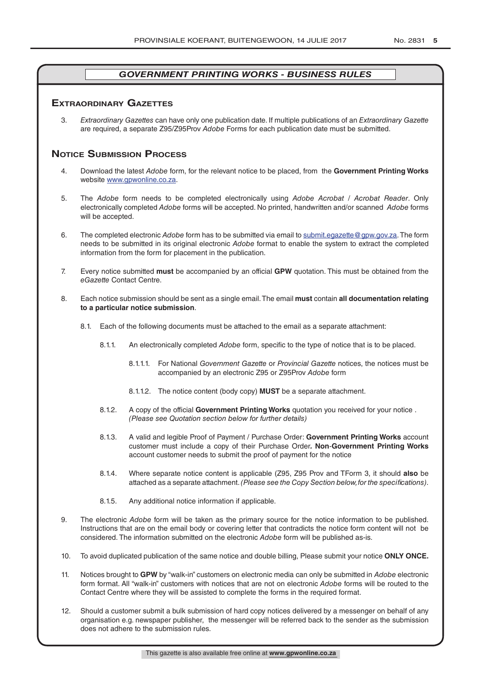# **exTrAordinAry gAzeTTes**

3. *Extraordinary Gazettes* can have only one publication date. If multiple publications of an *Extraordinary Gazette* are required, a separate Z95/Z95Prov *Adobe* Forms for each publication date must be submitted.

# **NOTICE SUBMISSION PROCESS**

- 4. Download the latest *Adobe* form, for the relevant notice to be placed, from the **Government Printing Works** website www.gpwonline.co.za.
- 5. The *Adobe* form needs to be completed electronically using *Adobe Acrobat* / *Acrobat Reader*. Only electronically completed *Adobe* forms will be accepted. No printed, handwritten and/or scanned *Adobe* forms will be accepted.
- 6. The completed electronic *Adobe* form has to be submitted via email to submit.egazette@gpw.gov.za. The form needs to be submitted in its original electronic *Adobe* format to enable the system to extract the completed information from the form for placement in the publication.
- 7. Every notice submitted **must** be accompanied by an official **GPW** quotation. This must be obtained from the *eGazette* Contact Centre.
- 8. Each notice submission should be sent as a single email. The email **must** contain **all documentation relating to a particular notice submission**.
	- 8.1. Each of the following documents must be attached to the email as a separate attachment:
		- 8.1.1. An electronically completed *Adobe* form, specific to the type of notice that is to be placed.
			- 8.1.1.1. For National *Government Gazette* or *Provincial Gazette* notices, the notices must be accompanied by an electronic Z95 or Z95Prov *Adobe* form
			- 8.1.1.2. The notice content (body copy) **MUST** be a separate attachment.
		- 8.1.2. A copy of the official **Government Printing Works** quotation you received for your notice . *(Please see Quotation section below for further details)*
		- 8.1.3. A valid and legible Proof of Payment / Purchase Order: **Government Printing Works** account customer must include a copy of their Purchase Order*.* **Non**-**Government Printing Works** account customer needs to submit the proof of payment for the notice
		- 8.1.4. Where separate notice content is applicable (Z95, Z95 Prov and TForm 3, it should **also** be attached as a separate attachment. *(Please see the Copy Section below, for the specifications)*.
		- 8.1.5. Any additional notice information if applicable.
- 9. The electronic *Adobe* form will be taken as the primary source for the notice information to be published. Instructions that are on the email body or covering letter that contradicts the notice form content will not be considered. The information submitted on the electronic *Adobe* form will be published as-is.
- 10. To avoid duplicated publication of the same notice and double billing, Please submit your notice **ONLY ONCE.**
- 11. Notices brought to **GPW** by "walk-in" customers on electronic media can only be submitted in *Adobe* electronic form format. All "walk-in" customers with notices that are not on electronic *Adobe* forms will be routed to the Contact Centre where they will be assisted to complete the forms in the required format.
- 12. Should a customer submit a bulk submission of hard copy notices delivered by a messenger on behalf of any organisation e.g. newspaper publisher, the messenger will be referred back to the sender as the submission does not adhere to the submission rules.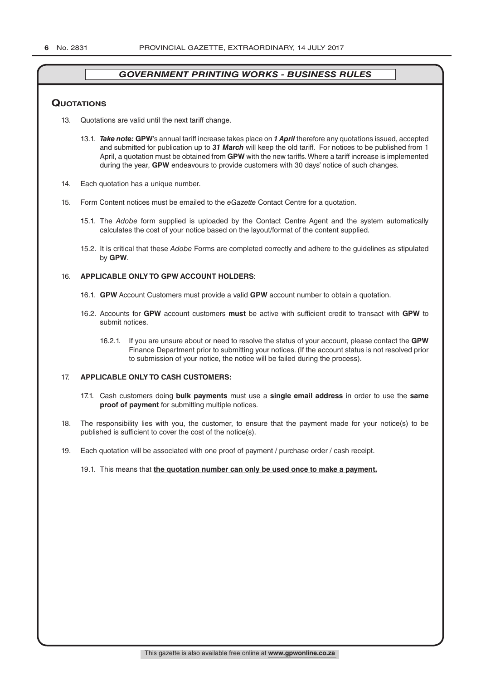### **QuoTATions**

- 13. Quotations are valid until the next tariff change.
	- 13.1. *Take note:* **GPW**'s annual tariff increase takes place on *1 April* therefore any quotations issued, accepted and submitted for publication up to *31 March* will keep the old tariff. For notices to be published from 1 April, a quotation must be obtained from **GPW** with the new tariffs. Where a tariff increase is implemented during the year, **GPW** endeavours to provide customers with 30 days' notice of such changes.
- 14. Each quotation has a unique number.
- 15. Form Content notices must be emailed to the *eGazette* Contact Centre for a quotation.
	- 15.1. The *Adobe* form supplied is uploaded by the Contact Centre Agent and the system automatically calculates the cost of your notice based on the layout/format of the content supplied.
	- 15.2. It is critical that these *Adobe* Forms are completed correctly and adhere to the guidelines as stipulated by **GPW**.

#### 16. **APPLICABLE ONLY TO GPW ACCOUNT HOLDERS**:

- 16.1. **GPW** Account Customers must provide a valid **GPW** account number to obtain a quotation.
- 16.2. Accounts for **GPW** account customers **must** be active with sufficient credit to transact with **GPW** to submit notices.
	- 16.2.1. If you are unsure about or need to resolve the status of your account, please contact the **GPW** Finance Department prior to submitting your notices. (If the account status is not resolved prior to submission of your notice, the notice will be failed during the process).

#### 17. **APPLICABLE ONLY TO CASH CUSTOMERS:**

- 17.1. Cash customers doing **bulk payments** must use a **single email address** in order to use the **same proof of payment** for submitting multiple notices.
- 18. The responsibility lies with you, the customer, to ensure that the payment made for your notice(s) to be published is sufficient to cover the cost of the notice(s).
- 19. Each quotation will be associated with one proof of payment / purchase order / cash receipt.

#### 19.1. This means that **the quotation number can only be used once to make a payment.**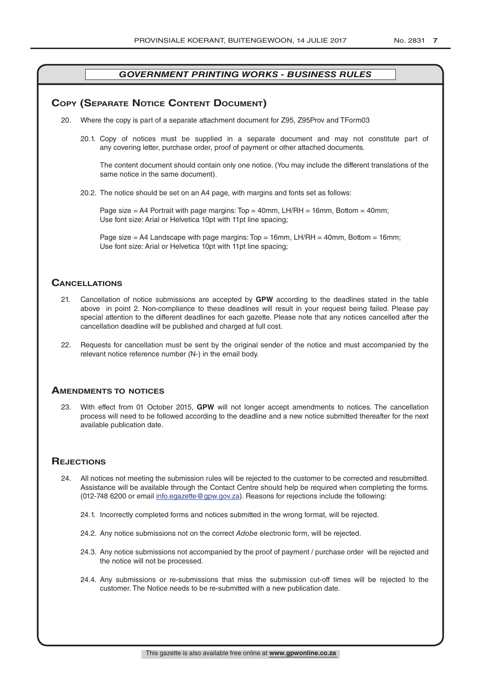# **COPY (SEPARATE NOTICE CONTENT DOCUMENT)**

- 20. Where the copy is part of a separate attachment document for Z95, Z95Prov and TForm03
	- 20.1. Copy of notices must be supplied in a separate document and may not constitute part of any covering letter, purchase order, proof of payment or other attached documents.

The content document should contain only one notice. (You may include the different translations of the same notice in the same document).

20.2. The notice should be set on an A4 page, with margins and fonts set as follows:

Page size  $=$  A4 Portrait with page margins: Top  $=$  40mm, LH/RH  $=$  16mm, Bottom  $=$  40mm; Use font size: Arial or Helvetica 10pt with 11pt line spacing;

Page size = A4 Landscape with page margins: Top = 16mm, LH/RH = 40mm, Bottom = 16mm; Use font size: Arial or Helvetica 10pt with 11pt line spacing;

### **CAnCellATions**

- 21. Cancellation of notice submissions are accepted by **GPW** according to the deadlines stated in the table above in point 2. Non-compliance to these deadlines will result in your request being failed. Please pay special attention to the different deadlines for each gazette. Please note that any notices cancelled after the cancellation deadline will be published and charged at full cost.
- 22. Requests for cancellation must be sent by the original sender of the notice and must accompanied by the relevant notice reference number (N-) in the email body.

#### **AmendmenTs To noTiCes**

23. With effect from 01 October 2015, **GPW** will not longer accept amendments to notices. The cancellation process will need to be followed according to the deadline and a new notice submitted thereafter for the next available publication date.

### **REJECTIONS**

- 24. All notices not meeting the submission rules will be rejected to the customer to be corrected and resubmitted. Assistance will be available through the Contact Centre should help be required when completing the forms. (012-748 6200 or email info.egazette@gpw.gov.za). Reasons for rejections include the following:
	- 24.1. Incorrectly completed forms and notices submitted in the wrong format, will be rejected.
	- 24.2. Any notice submissions not on the correct *Adobe* electronic form, will be rejected.
	- 24.3. Any notice submissions not accompanied by the proof of payment / purchase order will be rejected and the notice will not be processed.
	- 24.4. Any submissions or re-submissions that miss the submission cut-off times will be rejected to the customer. The Notice needs to be re-submitted with a new publication date.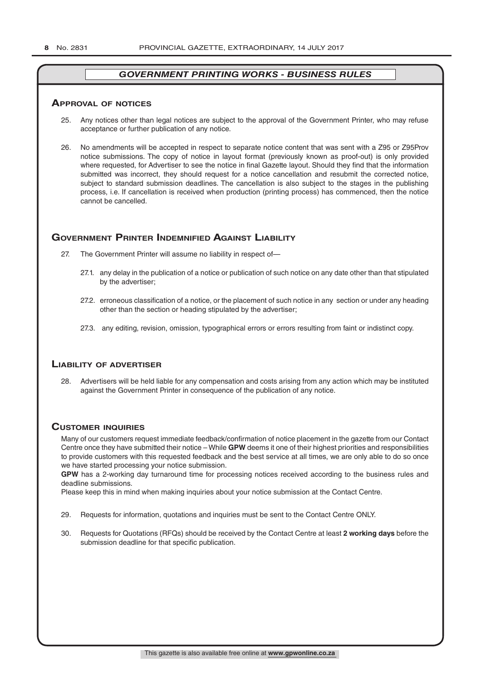#### **ApprovAl of noTiCes**

- 25. Any notices other than legal notices are subject to the approval of the Government Printer, who may refuse acceptance or further publication of any notice.
- 26. No amendments will be accepted in respect to separate notice content that was sent with a Z95 or Z95Prov notice submissions. The copy of notice in layout format (previously known as proof-out) is only provided where requested, for Advertiser to see the notice in final Gazette layout. Should they find that the information submitted was incorrect, they should request for a notice cancellation and resubmit the corrected notice, subject to standard submission deadlines. The cancellation is also subject to the stages in the publishing process, i.e. If cancellation is received when production (printing process) has commenced, then the notice cannot be cancelled.

# **governmenT prinTer indemnified AgAinsT liAbiliTy**

- 27. The Government Printer will assume no liability in respect of—
	- 27.1. any delay in the publication of a notice or publication of such notice on any date other than that stipulated by the advertiser;
	- 27.2. erroneous classification of a notice, or the placement of such notice in any section or under any heading other than the section or heading stipulated by the advertiser;
	- 27.3. any editing, revision, omission, typographical errors or errors resulting from faint or indistinct copy.

# **liAbiliTy of AdverTiser**

28. Advertisers will be held liable for any compensation and costs arising from any action which may be instituted against the Government Printer in consequence of the publication of any notice.

# **CusTomer inQuiries**

Many of our customers request immediate feedback/confirmation of notice placement in the gazette from our Contact Centre once they have submitted their notice – While **GPW** deems it one of their highest priorities and responsibilities to provide customers with this requested feedback and the best service at all times, we are only able to do so once we have started processing your notice submission.

**GPW** has a 2-working day turnaround time for processing notices received according to the business rules and deadline submissions.

Please keep this in mind when making inquiries about your notice submission at the Contact Centre.

- 29. Requests for information, quotations and inquiries must be sent to the Contact Centre ONLY.
- 30. Requests for Quotations (RFQs) should be received by the Contact Centre at least **2 working days** before the submission deadline for that specific publication.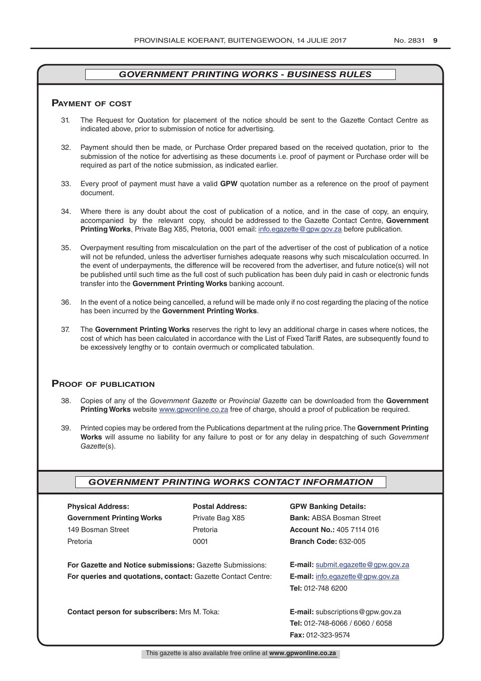#### **pAymenT of CosT**

- 31. The Request for Quotation for placement of the notice should be sent to the Gazette Contact Centre as indicated above, prior to submission of notice for advertising.
- 32. Payment should then be made, or Purchase Order prepared based on the received quotation, prior to the submission of the notice for advertising as these documents i.e. proof of payment or Purchase order will be required as part of the notice submission, as indicated earlier.
- 33. Every proof of payment must have a valid **GPW** quotation number as a reference on the proof of payment document.
- 34. Where there is any doubt about the cost of publication of a notice, and in the case of copy, an enquiry, accompanied by the relevant copy, should be addressed to the Gazette Contact Centre, **Government Printing Works**, Private Bag X85, Pretoria, 0001 email: info.egazette@gpw.gov.za before publication.
- 35. Overpayment resulting from miscalculation on the part of the advertiser of the cost of publication of a notice will not be refunded, unless the advertiser furnishes adequate reasons why such miscalculation occurred. In the event of underpayments, the difference will be recovered from the advertiser, and future notice(s) will not be published until such time as the full cost of such publication has been duly paid in cash or electronic funds transfer into the **Government Printing Works** banking account.
- 36. In the event of a notice being cancelled, a refund will be made only if no cost regarding the placing of the notice has been incurred by the **Government Printing Works**.
- 37. The **Government Printing Works** reserves the right to levy an additional charge in cases where notices, the cost of which has been calculated in accordance with the List of Fixed Tariff Rates, are subsequently found to be excessively lengthy or to contain overmuch or complicated tabulation.

#### **proof of publiCATion**

- 38. Copies of any of the *Government Gazette* or *Provincial Gazette* can be downloaded from the **Government Printing Works** website www.gpwonline.co.za free of charge, should a proof of publication be required.
- 39. Printed copies may be ordered from the Publications department at the ruling price. The **Government Printing Works** will assume no liability for any failure to post or for any delay in despatching of such *Government Gazette*(s).

### *GOVERNMENT PRINTING WORKS CONTACT INFORMATION*

| <b>Physical Address:</b>         |  |  |  |  |
|----------------------------------|--|--|--|--|
| <b>Government Printing Works</b> |  |  |  |  |
| 149 Bosman Street                |  |  |  |  |
| Pretoria                         |  |  |  |  |

**For Gazette and Notice submissions:** Gazette Submissions: **E-mail:** submit.egazette@gpw.gov.za **For queries and quotations, contact:** Gazette Contact Centre: **E-mail:** info.egazette@gpw.gov.za

# **Physical Address: Postal Address: GPW Banking Details:**

Private Bag X85 **Bank:** ABSA Bosman Street 149 Bosman Street Pretoria **Account No.:** 405 7114 016 Pretoria 0001 **Branch Code:** 632-005

**Tel:** 012-748 6200

**Contact person for subscribers:** Mrs M. Toka: **E-mail:** subscriptions@gpw.gov.za **Tel:** 012-748-6066 / 6060 / 6058 **Fax:** 012-323-9574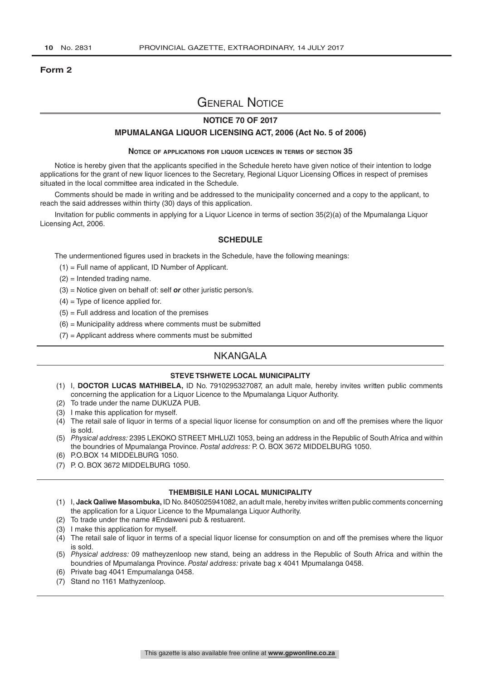#### **Form 2**

# General Notice

#### **NOTICE 70 OF 2017**

#### **MPUMALANGA LIQUOR LICENSING ACT, 2006 (Act No. 5 of 2006)**

#### **Notice of applications for liquor licences in terms of section 35**

Notice is hereby given that the applicants specified in the Schedule hereto have given notice of their intention to lodge applications for the grant of new liquor licences to the Secretary, Regional Liquor Licensing Offices in respect of premises situated in the local committee area indicated in the Schedule.

Comments should be made in writing and be addressed to the municipality concerned and a copy to the applicant, to reach the said addresses within thirty (30) days of this application.

Invitation for public comments in applying for a Liquor Licence in terms of section 35(2)(a) of the Mpumalanga Liquor Licensing Act, 2006.

#### **SCHEDULE**

The undermentioned figures used in brackets in the Schedule, have the following meanings:

- (1) = Full name of applicant, ID Number of Applicant.
- (2) = Intended trading name.
- (3) = Notice given on behalf of: self *or* other juristic person/s.
- $(4)$  = Type of licence applied for.
- $(5)$  = Full address and location of the premises
- $(6)$  = Municipality address where comments must be submitted
- $(7)$  = Applicant address where comments must be submitted

# **NKANGALA**

#### **STEVE TSHWETE LOCAL MUNICIPALITY**

- (1) I, **DOCTOR LUCAS MATHIBELA,** ID No. 7910295327087, an adult male, hereby invites written public comments concerning the application for a Liquor Licence to the Mpumalanga Liquor Authority.
- (2) To trade under the name DUKUZA PUB.
- (3) I make this application for myself.
- $(4)$  The retail sale of liquor in terms of a special liquor license for consumption on and off the premises where the liquor is sold.
- (5) *Physical address:* 2395 LEKOKO STREET MHLUZI 1053, being an address in the Republic of South Africa and within the boundries of Mpumalanga Province. *Postal address:* P. O. BOX 3672 MIDDELBURG 1050.
- (6) P.O.BOX 14 MIDDELBURG 1050.
- (7) P. O. BOX 3672 MIDDELBURG 1050.

#### **THEMBISILE HANI LOCAL MUNICIPALITY**

- (1) I, **Jack Qaliwe Masombuka,** ID No. 8405025941082, an adult male, hereby invites written public comments concerning the application for a Liquor Licence to the Mpumalanga Liquor Authority.
- (2) To trade under the name #Endaweni pub & restuarent.
- (3) I make this application for myself.
- (4) The retail sale of liquor in terms of a special liquor license for consumption on and off the premises where the liquor is sold.
- (5) *Physical address:* 09 matheyzenloop new stand, being an address in the Republic of South Africa and within the boundries of Mpumalanga Province. *Postal address:* private bag x 4041 Mpumalanga 0458.
- (6) Private bag 4041 Empumalanga 0458.
- (7) Stand no 1161 Mathyzenloop.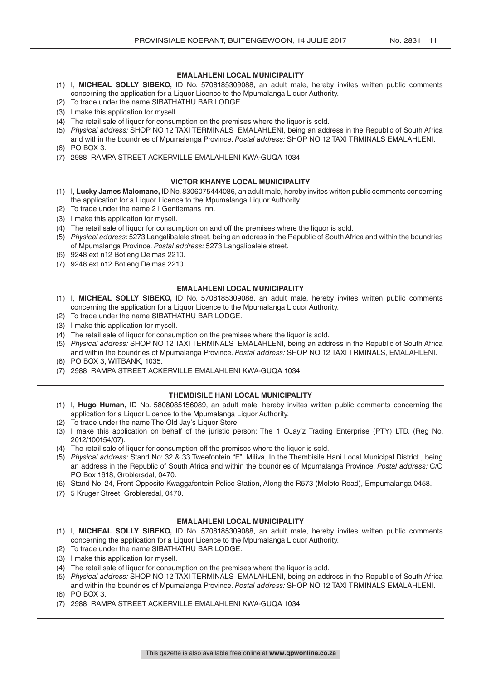#### **EMALAHLENI LOCAL MUNICIPALITY**

- (1) I, **MICHEAL SOLLY SIBEKO,** ID No. 5708185309088, an adult male, hereby invites written public comments concerning the application for a Liquor Licence to the Mpumalanga Liquor Authority.
- (2) To trade under the name SIBATHATHU BAR LODGE.
- (3) I make this application for myself.
- (4) The retail sale of liquor for consumption on the premises where the liquor is sold.
- (5) *Physical address:* SHOP NO 12 TAXI TERMINALS EMALAHLENI, being an address in the Republic of South Africa and within the boundries of Mpumalanga Province. *Postal address:* SHOP NO 12 TAXI TRMINALS EMALAHLENI.
- (6) PO BOX 3.
- (7) 2988 RAMPA STREET ACKERVILLE EMALAHLENI KWA-GUQA 1034.

#### **VICTOR KHANYE LOCAL MUNICIPALITY**

- (1) I, **Lucky James Malomane,** ID No. 8306075444086, an adult male, hereby invites written public comments concerning the application for a Liquor Licence to the Mpumalanga Liquor Authority.
- (2) To trade under the name 21 Gentlemans Inn.
- (3) I make this application for myself.
- (4) The retail sale of liquor for consumption on and off the premises where the liquor is sold.
- (5) *Physical address:* 5273 Langalibalele street, being an address in the Republic of South Africa and within the boundries of Mpumalanga Province. *Postal address:* 5273 Langalibalele street.
- (6) 9248 ext n12 Botleng Delmas 2210.
- (7) 9248 ext n12 Botleng Delmas 2210.

#### **EMALAHLENI LOCAL MUNICIPALITY**

- (1) I, **MICHEAL SOLLY SIBEKO,** ID No. 5708185309088, an adult male, hereby invites written public comments concerning the application for a Liquor Licence to the Mpumalanga Liquor Authority.
- (2) To trade under the name SIBATHATHU BAR LODGE.
- (3) I make this application for myself.
- (4) The retail sale of liquor for consumption on the premises where the liquor is sold.
- (5) *Physical address:* SHOP NO 12 TAXI TERMINALS EMALAHLENI, being an address in the Republic of South Africa and within the boundries of Mpumalanga Province. *Postal address:* SHOP NO 12 TAXI TRMINALS, EMALAHLENI.
- (6) PO BOX 3, WITBANK, 1035.
- (7) 2988 RAMPA STREET ACKERVILLE EMALAHLENI KWA-GUQA 1034.

#### **THEMBISILE HANI LOCAL MUNICIPALITY**

- (1) I, **Hugo Human,** ID No. 5808085156089, an adult male, hereby invites written public comments concerning the application for a Liquor Licence to the Mpumalanga Liquor Authority.
- (2) To trade under the name The Old Jay's Liquor Store.
- (3) I make this application on behalf of the juristic person: The 1 OJay'z Trading Enterprise (PTY) LTD. (Reg No. 2012/100154/07).
- (4) The retail sale of liquor for consumption off the premises where the liquor is sold.
- (5) *Physical address:* Stand No: 32 & 33 Tweefontein "E", Miliva, In the Thembisile Hani Local Municipal District., being an address in the Republic of South Africa and within the boundries of Mpumalanga Province. *Postal address:* C/O PO Box 1618, Groblersdal, 0470.
- (6) Stand No: 24, Front Opposite Kwaggafontein Police Station, Along the R573 (Moloto Road), Empumalanga 0458.
- (7) 5 Kruger Street, Groblersdal, 0470.

#### **EMALAHLENI LOCAL MUNICIPALITY**

- (1) I, **MICHEAL SOLLY SIBEKO,** ID No. 5708185309088, an adult male, hereby invites written public comments concerning the application for a Liquor Licence to the Mpumalanga Liquor Authority.
- (2) To trade under the name SIBATHATHU BAR LODGE.
- (3) I make this application for myself.
- (4) The retail sale of liquor for consumption on the premises where the liquor is sold.
- (5) *Physical address:* SHOP NO 12 TAXI TERMINALS EMALAHLENI, being an address in the Republic of South Africa and within the boundries of Mpumalanga Province. *Postal address:* SHOP NO 12 TAXI TRMINALS EMALAHLENI. (6) PO BOX 3.
- (7) 2988 RAMPA STREET ACKERVILLE EMALAHLENI KWA-GUQA 1034.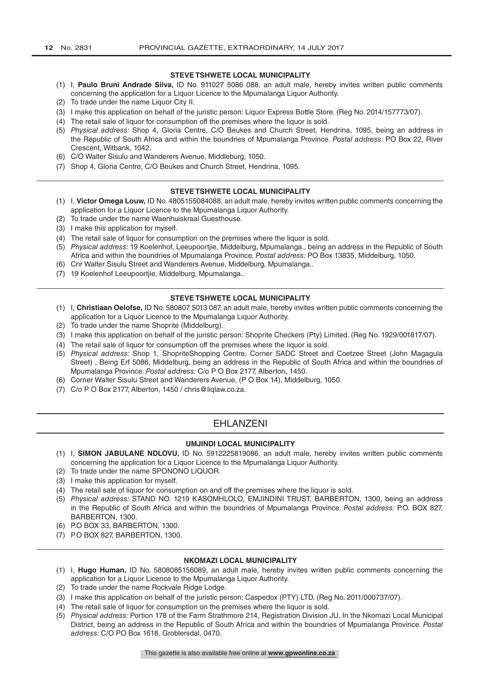#### **STEVE TSHWETE LOCAL MUNICIPALITY**

- (1) I, **Paulo Bruni Andrade Silva,** ID No. 911027 5086 088, an adult male, hereby invites written public comments concerning the application for a Liquor Licence to the Mpumalanga Liquor Authority.
- (2) To trade under the name Liquor City II.
- (3) I make this application on behalf of the juristic person: Liquor Express Bottle Store. (Reg No. 2014/157773/07).
- (4) The retail sale of liquor for consumption off the premises where the liquor is sold.
- (5) *Physical address:* Shop 4, Gloria Centre, C/O Beukes and Church Street, Hendrina, 1095, being an address in the Republic of South Africa and within the boundries of Mpumalanga Province. *Postal address:* PO Box 22, River Crescent, Witbank, 1042.
- (6) C/O Walter Sisulu and Wanderers Avenue, Middleburg, 1050.
- (7) Shop 4, Gloria Centre, C/O Beukes and Church Street, Hendrina, 1095.

#### **STEVE TSHWETE LOCAL MUNICIPALITY**

- (1) I, **Victor Omega Louw,** ID No. 4805155084088, an adult male, hereby invites written public comments concerning the application for a Liquor Licence to the Mpumalanga Liquor Authority.
- (2) To trade under the name Waenhuiskraal Guesthouse.
- (3) I make this application for myself.
- (4) The retail sale of liquor for consumption on the premises where the liquor is sold.
- (5) *Physical address:* 19 Koelenhof, Leeupoortjie, Middelburg, Mpumalanga., being an address in the Republic of South Africa and within the boundries of Mpumalanga Province. *Postal address:* PO Box 13835, Middelburg, 1050.
- (6) Cnr Walter Sisulu Street and Wanderers Avenue, Middelburg, Mpumalanga..
- (7) 19 Koelenhof Leeupoortjie, Middelburg, Mpumalanga..

# **STEVE TSHWETE LOCAL MUNICIPALITY**

- (1) I, **Christiaan Oelofse,** ID No. 580807 5013 087, an adult male, hereby invites written public comments concerning the application for a Liquor Licence to the Mpumalanga Liquor Authority.
- (2) To trade under the name Shoprite (Middelburg).
- (3) I make this application on behalf of the juristic person: Shoprite Checkers (Pty) Limited. (Reg No. 1929/001817/07).
- (4) The retail sale of liquor for consumption off the premises where the liquor is sold.
- (5) *Physical address:* Shop 1, ShopriteShopping Centre, Corner SADC Street and Coetzee Street (John Magagula Street) , Being Erf 5086, Middelburg, being an address in the Republic of South Africa and within the boundries of Mpumalanga Province. *Postal address:* C/o P O Box 2177, Alberton, 1450.
- (6) Corner Walter Sisulu Street and Wanderers Avenue, (P O Box 14), Middelburg, 1050.
- (7) C/o P O Box 2177, Alberton, 1450 / chris@liqlaw.co.za.

# **FHI ANZENI**

#### **UMJINDI LOCAL MUNICIPALITY**

- (1) I, **SIMON JABULANE NDLOVU,** ID No. 5912225819086, an adult male, hereby invites written public comments concerning the application for a Liquor Licence to the Mpumalanga Liquor Authority.
- (2) To trade under the name SPONONO LIQUOR.
- (3) I make this application for myself.
- (4) The retail sale of liquor for consumption on and off the premises where the liquor is sold.
- (5) *Physical address:* STAND NO. 1219 KASOMHLOLO, EMJINDINI TRUST, BARBERTON, 1300, being an address in the Republic of South Africa and within the boundries of Mpumalanga Province. *Postal address:* P.O. BOX 827, BARBERTON, 1300.
- (6) P.O BOX 33, BARBERTON, 1300.
- (7) P.O BOX 827, BARBERTON, 1300.

#### **NKOMAZI LOCAL MUNICIPALITY**

- (1) I, **Hugo Human,** ID No. 5808085156089, an adult male, hereby invites written public comments concerning the application for a Liquor Licence to the Mpumalanga Liquor Authority.
- (2) To trade under the name Rockvale Ridge Lodge.
- (3) I make this application on behalf of the juristic person: Caspedox (PTY) LTD. (Reg No. 2011/000737/07).
- (4) The retail sale of liquor for consumption on the premises where the liquor is sold.
- (5) *Physical address:* Portion 178 of the Farm Strathmore 214, Registration Division JU, In the Nkomazi Local Municipal District, being an address in the Republic of South Africa and within the boundries of Mpumalanga Province. *Postal address:* C/O PO Box 1618, Groblersdal, 0470.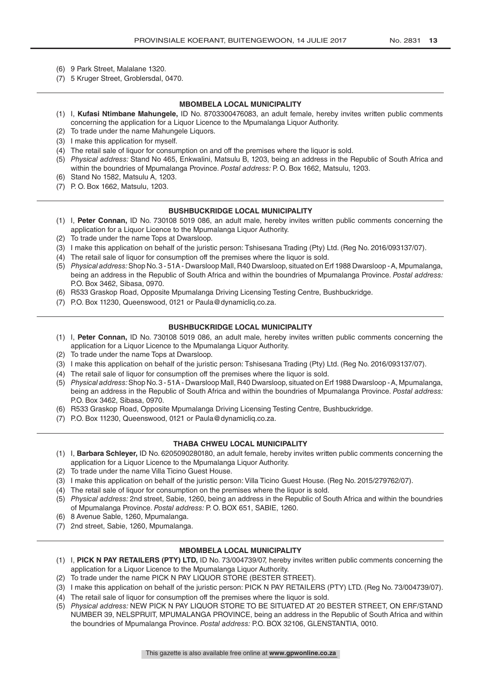- (6) 9 Park Street, Malalane 1320.
- (7) 5 Kruger Street, Groblersdal, 0470.

#### **MBOMBELA LOCAL MUNICIPALITY**

- (1) I, **Kufasi Ntimbane Mahungele,** ID No. 8703300476083, an adult female, hereby invites written public comments concerning the application for a Liquor Licence to the Mpumalanga Liquor Authority.
- (2) To trade under the name Mahungele Liquors.
- (3) I make this application for myself.
- (4) The retail sale of liquor for consumption on and off the premises where the liquor is sold.
- (5) *Physical address:* Stand No 465, Enkwalini, Matsulu B, 1203, being an address in the Republic of South Africa and within the boundries of Mpumalanga Province. *Postal address:* P. O. Box 1662, Matsulu, 1203.
- (6) Stand No 1582, Matsulu A, 1203.
- (7) P. O. Box 1662, Matsulu, 1203.

#### **BUSHBUCKRIDGE LOCAL MUNICIPALITY**

- (1) I, **Peter Connan,** ID No. 730108 5019 086, an adult male, hereby invites written public comments concerning the application for a Liquor Licence to the Mpumalanga Liquor Authority.
- (2) To trade under the name Tops at Dwarsloop.
- (3) I make this application on behalf of the juristic person: Tshisesana Trading (Pty) Ltd. (Reg No. 2016/093137/07).
- (4) The retail sale of liquor for consumption off the premises where the liquor is sold.
- (5) *Physical address:* Shop No. 3 51A Dwarsloop Mall, R40 Dwarsloop, situated on Erf 1988 Dwarsloop A, Mpumalanga, being an address in the Republic of South Africa and within the boundries of Mpumalanga Province. *Postal address:*  P.O. Box 3462, Sibasa, 0970.
- (6) R533 Graskop Road, Opposite Mpumalanga Driving Licensing Testing Centre, Bushbuckridge.
- (7) P.O. Box 11230, Queenswood, 0121 or Paula@dynamicliq.co.za.

#### **BUSHBUCKRIDGE LOCAL MUNICIPALITY**

- (1) I, **Peter Connan,** ID No. 730108 5019 086, an adult male, hereby invites written public comments concerning the application for a Liquor Licence to the Mpumalanga Liquor Authority.
- (2) To trade under the name Tops at Dwarsloop.
- (3) I make this application on behalf of the juristic person: Tshisesana Trading (Pty) Ltd. (Reg No. 2016/093137/07).
- (4) The retail sale of liquor for consumption off the premises where the liquor is sold.
- (5) *Physical address:* Shop No. 3 51A Dwarsloop Mall, R40 Dwarsloop, situated on Erf 1988 Dwarsloop A, Mpumalanga, being an address in the Republic of South Africa and within the boundries of Mpumalanga Province. *Postal address:*  P.O. Box 3462, Sibasa, 0970.
- (6) R533 Graskop Road, Opposite Mpumalanga Driving Licensing Testing Centre, Bushbuckridge.
- (7) P.O. Box 11230, Queenswood, 0121 or Paula@dynamicliq.co.za.

#### **THABA CHWEU LOCAL MUNICIPALITY**

- (1) I, **Barbara Schleyer,** ID No. 6205090280180, an adult female, hereby invites written public comments concerning the application for a Liquor Licence to the Mpumalanga Liquor Authority.
- (2) To trade under the name Villa Ticino Guest House.
- (3) I make this application on behalf of the juristic person: Villa Ticino Guest House. (Reg No. 2015/279762/07).
- (4) The retail sale of liquor for consumption on the premises where the liquor is sold.
- (5) *Physical address:* 2nd street, Sabie, 1260, being an address in the Republic of South Africa and within the boundries of Mpumalanga Province. *Postal address:* P. O. BOX 651, SABIE, 1260.
- (6) 8 Avenue Sable, 1260, Mpumalanga.
- (7) 2nd street, Sabie, 1260, Mpumalanga.

#### **MBOMBELA LOCAL MUNICIPALITY**

- (1) I, **PICK N PAY RETAILERS (PTY) LTD,** ID No. 73/004739/07, hereby invites written public comments concerning the application for a Liquor Licence to the Mpumalanga Liquor Authority.
- (2) To trade under the name PICK N PAY LIQUOR STORE (BESTER STREET).
- (3) I make this application on behalf of the juristic person: PICK N PAY RETAILERS (PTY) LTD. (Reg No. 73/004739/07).
- (4) The retail sale of liquor for consumption off the premises where the liquor is sold.
- (5) *Physical address:* NEW PICK N PAY LIQUOR STORE TO BE SITUATED AT 20 BESTER STREET, ON ERF/STAND NUMBER 39, NELSPRUIT, MPUMALANGA PROVINCE, being an address in the Republic of South Africa and within the boundries of Mpumalanga Province. *Postal address:* P.O. BOX 32106, GLENSTANTIA, 0010.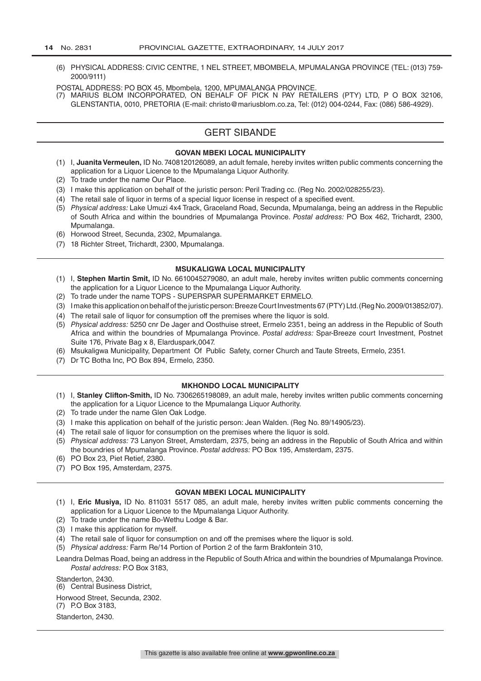- (6) PHYSICAL ADDRESS: CIVIC CENTRE, 1 NEL STREET, MBOMBELA, MPUMALANGA PROVINCE (TEL: (013) 759- 2000/9111)
- POSTAL ADDRESS: PO BOX 45, Mbombela, 1200, MPUMALANGA PROVINCE.
- (7) MARIUS BLOM INCORPORATED, ON BEHALF OF PICK N PAY RETAILERS (PTY) LTD, P O BOX 32106, GLENSTANTIA, 0010, PRETORIA (E-mail: christo@mariusblom.co.za, Tel: (012) 004-0244, Fax: (086) 586-4929).

# GERT SIBANDE

#### **GOVAN MBEKI LOCAL MUNICIPALITY**

- (1) I, **Juanita Vermeulen,** ID No. 7408120126089, an adult female, hereby invites written public comments concerning the application for a Liquor Licence to the Mpumalanga Liquor Authority.
- (2) To trade under the name Our Place.
- (3) I make this application on behalf of the juristic person: Peril Trading cc. (Reg No. 2002/028255/23).
- (4) The retail sale of liquor in terms of a special liquor license in respect of a specified event.
- (5) *Physical address:* Lake Umuzi 4x4 Track, Graceland Road, Secunda, Mpumalanga, being an address in the Republic of South Africa and within the boundries of Mpumalanga Province. *Postal address:* PO Box 462, Trichardt, 2300, Mpumalanga.
- (6) Horwood Street, Secunda, 2302, Mpumalanga.
- (7) 18 Richter Street, Trichardt, 2300, Mpumalanga.

#### **MSUKALIGWA LOCAL MUNICIPALITY**

- (1) I, **Stephen Martin Smit,** ID No. 6610045279080, an adult male, hereby invites written public comments concerning the application for a Liquor Licence to the Mpumalanga Liquor Authority.
- (2) To trade under the name TOPS SUPERSPAR SUPERMARKET ERMELO.
- (3) I make this application on behalf of the juristic person: Breeze Court Investments 67 (PTY) Ltd. (Reg No. 2009/013852/07).
- (4) The retail sale of liquor for consumption off the premises where the liquor is sold.
- (5) *Physical address:* 5250 cnr De Jager and Oosthuise street, Ermelo 2351, being an address in the Republic of South Africa and within the boundries of Mpumalanga Province. *Postal address:* Spar-Breeze court Investment, Postnet Suite 176, Private Bag x 8, Elarduspark,0047.
- (6) Msukaligwa Municipality, Department Of Public Safety, corner Church and Taute Streets, Ermelo, 2351.
- (7) Dr TC Botha Inc, PO Box 894, Ermelo, 2350.

#### **MKHONDO LOCAL MUNICIPALITY**

- (1) I, **Stanley Clifton-Smith,** ID No. 7306265198089, an adult male, hereby invites written public comments concerning the application for a Liquor Licence to the Mpumalanga Liquor Authority.
- (2) To trade under the name Glen Oak Lodge.
- (3) I make this application on behalf of the juristic person: Jean Walden. (Reg No. 89/14905/23).
- (4) The retail sale of liquor for consumption on the premises where the liquor is sold.
- (5) *Physical address:* 73 Lanyon Street, Amsterdam, 2375, being an address in the Republic of South Africa and within the boundries of Mpumalanga Province. *Postal address:* PO Box 195, Amsterdam, 2375.
- (6) PO Box 23, Piet Retief, 2380.
- (7) PO Box 195, Amsterdam, 2375.

#### **GOVAN MBEKI LOCAL MUNICIPALITY**

- (1) I, **Eric Musiya,** ID No. 811031 5517 085, an adult male, hereby invites written public comments concerning the application for a Liquor Licence to the Mpumalanga Liquor Authority.
- (2) To trade under the name Bo-Wethu Lodge & Bar.
- (3) I make this application for myself.
- (4) The retail sale of liquor for consumption on and off the premises where the liquor is sold.
- (5) *Physical address:* Farm Re/14 Portion of Portion 2 of the farm Brakfontein 310,

Leandra Delmas Road, being an address in the Republic of South Africa and within the boundries of Mpumalanga Province. *Postal address:* P.O Box 3183,

Standerton, 2430.

(6) Central Business District,

Horwood Street, Secunda, 2302.

(7) P.O Box 3183,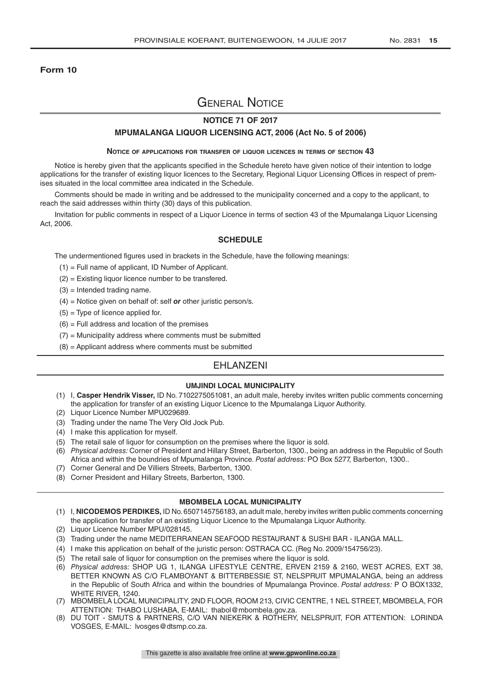#### **Form 10**

# General Notice

### **NOTICE 71 OF 2017**

#### **MPUMALANGA LIQUOR LICENSING ACT, 2006 (Act No. 5 of 2006)**

#### **Notice of applications for transfer of liquor licences in terms of section 43**

Notice is hereby given that the applicants specified in the Schedule hereto have given notice of their intention to lodge applications for the transfer of existing liquor licences to the Secretary, Regional Liquor Licensing Offices in respect of premises situated in the local committee area indicated in the Schedule.

Comments should be made in writing and be addressed to the municipality concerned and a copy to the applicant, to reach the said addresses within thirty (30) days of this publication.

Invitation for public comments in respect of a Liquor Licence in terms of section 43 of the Mpumalanga Liquor Licensing Act, 2006.

#### **SCHEDULE**

The undermentioned figures used in brackets in the Schedule, have the following meanings:

- (1) = Full name of applicant, ID Number of Applicant.
- (2) = Existing liquor licence number to be transfered.
- $(3)$  = Intended trading name.
- (4) = Notice given on behalf of: self *or* other juristic person/s.
- $(5)$  = Type of licence applied for.
- $(6)$  = Full address and location of the premises
- $(7)$  = Municipality address where comments must be submitted
- $(8)$  = Applicant address where comments must be submitted

# EHLANZENI

#### **UMJINDI LOCAL MUNICIPALITY**

- (1) I, **Casper Hendrik Visser,** ID No. 7102275051081, an adult male, hereby invites written public comments concerning the application for transfer of an existing Liquor Licence to the Mpumalanga Liquor Authority.
- (2) Liquor Licence Number MPU029689.
- (3) Trading under the name The Very Old Jock Pub.
- (4) I make this application for myself.
- (5) The retail sale of liquor for consumption on the premises where the liquor is sold.
- (6) *Physical address:* Corner of President and Hillary Street, Barberton, 1300., being an address in the Republic of South Africa and within the boundries of Mpumalanga Province. *Postal address:* PO Box 5277, Barberton, 1300..
- (7) Corner General and De Villiers Streets, Barberton, 1300.
- (8) Corner President and Hillary Streets, Barberton, 1300.

#### **MBOMBELA LOCAL MUNICIPALITY**

- (1) I, **NICODEMOS PERDIKES,** ID No. 6507145756183, an adult male, hereby invites written public comments concerning the application for transfer of an existing Liquor Licence to the Mpumalanga Liquor Authority.
- (2) Liquor Licence Number MPU/028145.
- (3) Trading under the name MEDITERRANEAN SEAFOOD RESTAURANT & SUSHI BAR ILANGA MALL.
- (4) I make this application on behalf of the juristic person: OSTRACA CC. (Reg No. 2009/154756/23).
- (5) The retail sale of liquor for consumption on the premises where the liquor is sold.
- (6) *Physical address:* SHOP UG 1, ILANGA LIFESTYLE CENTRE, ERVEN 2159 & 2160, WEST ACRES, EXT 38, BETTER KNOWN AS C/O FLAMBOYANT & BITTERBESSIE ST, NELSPRUIT MPUMALANGA, being an address in the Republic of South Africa and within the boundries of Mpumalanga Province. *Postal address:* P O BOX1332, WHITE RIVER, 1240.
- (7) MBOMBELA LOCAL MUNICIPALITY, 2ND FLOOR, ROOM 213, CIVIC CENTRE, 1 NEL STREET, MBOMBELA, FOR ATTENTION: THABO LUSHABA, E-MAIL: thabol@mbombela.gov.za.
- (8) DU TOIT SMUTS & PARTNERS, C/O VAN NIEKERK & ROTHERY, NELSPRUIT, FOR ATTENTION: LORINDA VOSGES, E-MAIL: lvosges@dtsmp.co.za.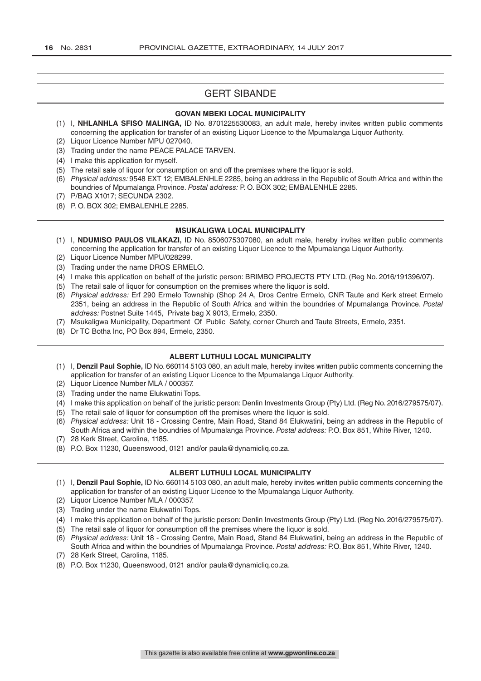# GERT SIBANDE

#### **GOVAN MBEKI LOCAL MUNICIPALITY**

- (1) I, **NHLANHLA SFISO MALINGA,** ID No. 8701225530083, an adult male, hereby invites written public comments concerning the application for transfer of an existing Liquor Licence to the Mpumalanga Liquor Authority.
- (2) Liquor Licence Number MPU 027040.
- (3) Trading under the name PEACE PALACE TARVEN.
- (4) I make this application for myself.
- (5) The retail sale of liquor for consumption on and off the premises where the liquor is sold.
- (6) *Physical address:* 9548 EXT 12; EMBALENHLE 2285, being an address in the Republic of South Africa and within the boundries of Mpumalanga Province. *Postal address:* P. O. BOX 302; EMBALENHLE 2285.
- (7) P/BAG X1017; SECUNDA 2302.
- (8) P. O. BOX 302; EMBALENHLE 2285.

#### **MSUKALIGWA LOCAL MUNICIPALITY**

- (1) I, **NDUMISO PAULOS VILAKAZI,** ID No. 8506075307080, an adult male, hereby invites written public comments concerning the application for transfer of an existing Liquor Licence to the Mpumalanga Liquor Authority.
- (2) Liquor Licence Number MPU/028299.
- (3) Trading under the name DROS ERMELO.
- (4) I make this application on behalf of the juristic person: BRIMBO PROJECTS PTY LTD. (Reg No. 2016/191396/07).
- (5) The retail sale of liquor for consumption on the premises where the liquor is sold.
- (6) *Physical address:* Erf 290 Ermelo Township (Shop 24 A, Dros Centre Ermelo, CNR Taute and Kerk street Ermelo 2351, being an address in the Republic of South Africa and within the boundries of Mpumalanga Province. *Postal address:* Postnet Suite 1445, Private bag X 9013, Ermelo, 2350.
- (7) Msukaligwa Municipality, Department Of Public Safety, corner Church and Taute Streets, Ermelo, 2351.
- (8) Dr TC Botha Inc, PO Box 894, Ermelo, 2350.

#### **ALBERT LUTHULI LOCAL MUNICIPALITY**

- (1) I, **Denzil Paul Sophie,** ID No. 660114 5103 080, an adult male, hereby invites written public comments concerning the application for transfer of an existing Liquor Licence to the Mpumalanga Liquor Authority.
- (2) Liquor Licence Number MLA / 000357.
- (3) Trading under the name Elukwatini Tops.
- (4) I make this application on behalf of the juristic person: Denlin Investments Group (Pty) Ltd. (Reg No. 2016/279575/07).
- (5) The retail sale of liquor for consumption off the premises where the liquor is sold.
- (6) *Physical address:* Unit 18 Crossing Centre, Main Road, Stand 84 Elukwatini, being an address in the Republic of South Africa and within the boundries of Mpumalanga Province. *Postal address:* P.O. Box 851, White River, 1240.
- (7) 28 Kerk Street, Carolina, 1185.
- (8) P.O. Box 11230, Queenswood, 0121 and/or paula@dynamicliq.co.za.

#### **ALBERT LUTHULI LOCAL MUNICIPALITY**

- (1) I, **Denzil Paul Sophie,** ID No. 660114 5103 080, an adult male, hereby invites written public comments concerning the application for transfer of an existing Liquor Licence to the Mpumalanga Liquor Authority.
- (2) Liquor Licence Number MLA / 000357.
- (3) Trading under the name Elukwatini Tops.
- (4) I make this application on behalf of the juristic person: Denlin Investments Group (Pty) Ltd. (Reg No. 2016/279575/07).
- (5) The retail sale of liquor for consumption off the premises where the liquor is sold.
- (6) *Physical address:* Unit 18 Crossing Centre, Main Road, Stand 84 Elukwatini, being an address in the Republic of South Africa and within the boundries of Mpumalanga Province. *Postal address:* P.O. Box 851, White River, 1240.
- (7) 28 Kerk Street, Carolina, 1185.
- (8) P.O. Box 11230, Queenswood, 0121 and/or paula@dynamicliq.co.za.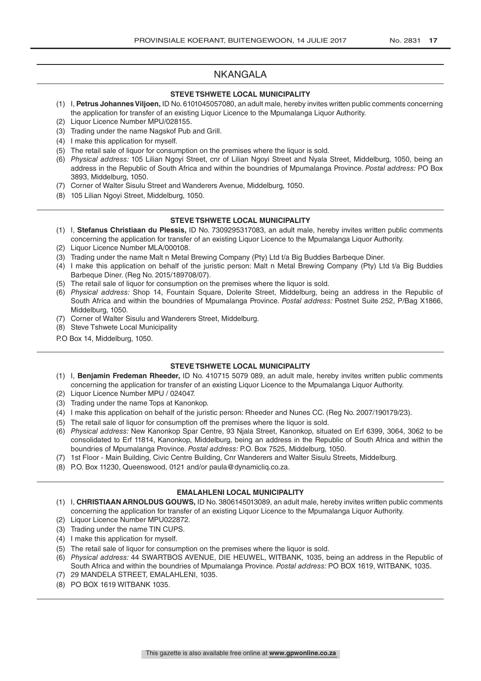# NKANGALA

#### **STEVE TSHWETE LOCAL MUNICIPALITY**

- (1) I, **Petrus Johannes Viljoen,** ID No. 6101045057080, an adult male, hereby invites written public comments concerning the application for transfer of an existing Liquor Licence to the Mpumalanga Liquor Authority.
- (2) Liquor Licence Number MPU/028155.
- (3) Trading under the name Nagskof Pub and Grill.
- (4) I make this application for myself.
- (5) The retail sale of liquor for consumption on the premises where the liquor is sold.
- (6) *Physical address:* 105 Lilian Ngoyi Street, cnr of Lilian Ngoyi Street and Nyala Street, Middelburg, 1050, being an address in the Republic of South Africa and within the boundries of Mpumalanga Province. *Postal address:* PO Box 3893, Middelburg, 1050.
- (7) Corner of Walter Sisulu Street and Wanderers Avenue, Middelburg, 1050.
- (8) 105 Lilian Ngoyi Street, Middelburg, 1050.

#### **STEVE TSHWETE LOCAL MUNICIPALITY**

- (1) I, **Stefanus Christiaan du Plessis,** ID No. 7309295317083, an adult male, hereby invites written public comments concerning the application for transfer of an existing Liquor Licence to the Mpumalanga Liquor Authority.
- (2) Liquor Licence Number MLA/000108.
- (3) Trading under the name Malt n Metal Brewing Company (Pty) Ltd t/a Big Buddies Barbeque Diner.
- (4) I make this application on behalf of the juristic person: Malt n Metal Brewing Company (Pty) Ltd t/a Big Buddies Barbeque Diner. (Reg No. 2015/189708/07).
- (5) The retail sale of liquor for consumption on the premises where the liquor is sold.
- (6) *Physical address:* Shop 14, Fountain Square, Dolerite Street, Middelburg, being an address in the Republic of South Africa and within the boundries of Mpumalanga Province. *Postal address:* Postnet Suite 252, P/Bag X1866, Middelburg, 1050.
- (7) Corner of Walter Sisulu and Wanderers Street, Middelburg.
- (8) Steve Tshwete Local Municipality
- P.O Box 14, Middelburg, 1050.

#### **STEVE TSHWETE LOCAL MUNICIPALITY**

- (1) I, **Benjamin Fredeman Rheeder,** ID No. 410715 5079 089, an adult male, hereby invites written public comments concerning the application for transfer of an existing Liquor Licence to the Mpumalanga Liquor Authority.
- (2) Liquor Licence Number MPU / 024047.
- (3) Trading under the name Tops at Kanonkop.
- (4) I make this application on behalf of the juristic person: Rheeder and Nunes CC. (Reg No. 2007/190179/23).
- (5) The retail sale of liquor for consumption off the premises where the liquor is sold.
- (6) *Physical address:* New Kanonkop Spar Centre, 93 Njala Street, Kanonkop, situated on Erf 6399, 3064, 3062 to be consolidated to Erf 11814, Kanonkop, Middelburg, being an address in the Republic of South Africa and within the boundries of Mpumalanga Province. *Postal address:* P.O. Box 7525, Middelburg, 1050.
- (7) 1st Floor Main Building, Civic Centre Building, Cnr Wanderers and Walter Sisulu Streets, Middelburg.
- (8) P.O. Box 11230, Queenswood, 0121 and/or paula@dynamicliq.co.za.

#### **EMALAHLENI LOCAL MUNICIPALITY**

- (1) I, **CHRISTIAAN ARNOLDUS GOUWS,** ID No. 3806145013089, an adult male, hereby invites written public comments concerning the application for transfer of an existing Liquor Licence to the Mpumalanga Liquor Authority.
- (2) Liquor Licence Number MPU022872.
- (3) Trading under the name TIN CUPS.
- (4) I make this application for myself.
- (5) The retail sale of liquor for consumption on the premises where the liquor is sold.
- (6) *Physical address:* 44 SWARTBOS AVENUE, DIE HEUWEL, WITBANK, 1035, being an address in the Republic of South Africa and within the boundries of Mpumalanga Province. *Postal address:* PO BOX 1619, WITBANK, 1035.
- (7) 29 MANDELA STREET, EMALAHLENI, 1035.
- (8) PO BOX 1619 WITBANK 1035.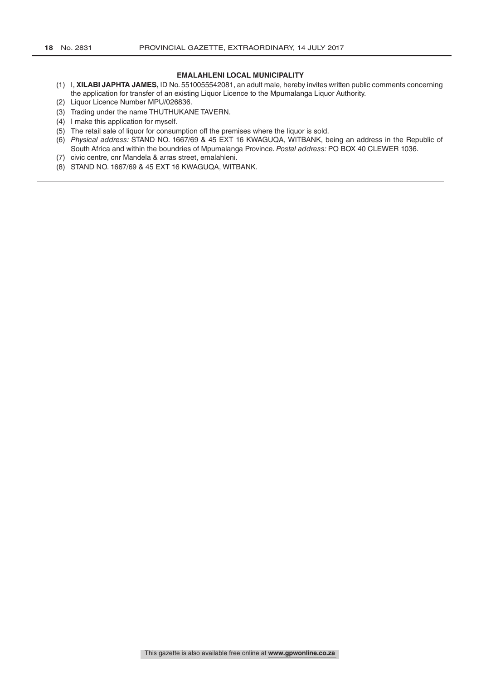#### **EMALAHLENI LOCAL MUNICIPALITY**

- (1) I, **XILABI JAPHTA JAMES,** ID No. 5510055542081, an adult male, hereby invites written public comments concerning the application for transfer of an existing Liquor Licence to the Mpumalanga Liquor Authority.
- (2) Liquor Licence Number MPU/026836.
- (3) Trading under the name THUTHUKANE TAVERN.
- (4) I make this application for myself.
- (5) The retail sale of liquor for consumption off the premises where the liquor is sold.
- (6) *Physical address:* STAND NO. 1667/69 & 45 EXT 16 KWAGUQA, WITBANK, being an address in the Republic of South Africa and within the boundries of Mpumalanga Province. *Postal address:* PO BOX 40 CLEWER 1036.
- (7) civic centre, cnr Mandela & arras street, emalahleni.
- (8) STAND NO. 1667/69 & 45 EXT 16 KWAGUQA, WITBANK.